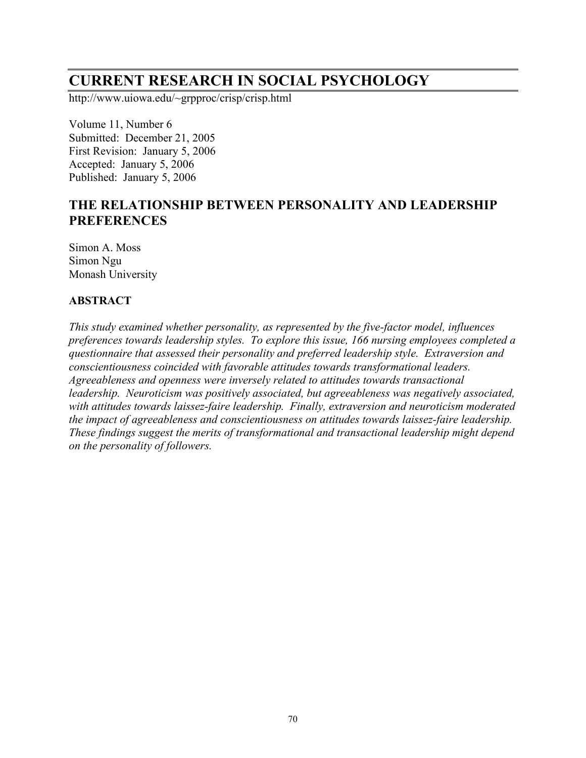# **CURRENT RESEARCH IN SOCIAL PSYCHOLOGY**

http://www.uiowa.edu/~grpproc/crisp/crisp.html

Volume 11, Number 6 Submitted: December 21, 2005 First Revision: January 5, 2006 Accepted: January 5, 2006 Published: January 5, 2006

# **THE RELATIONSHIP BETWEEN PERSONALITY AND LEADERSHIP PREFERENCES**

Simon A. Moss Simon Ngu Monash University

# **ABSTRACT**

*This study examined whether personality, as represented by the five-factor model, influences preferences towards leadership styles. To explore this issue, 166 nursing employees completed a questionnaire that assessed their personality and preferred leadership style. Extraversion and conscientiousness coincided with favorable attitudes towards transformational leaders. Agreeableness and openness were inversely related to attitudes towards transactional leadership. Neuroticism was positively associated, but agreeableness was negatively associated, with attitudes towards laissez-faire leadership. Finally, extraversion and neuroticism moderated the impact of agreeableness and conscientiousness on attitudes towards laissez-faire leadership. These findings suggest the merits of transformational and transactional leadership might depend on the personality of followers.*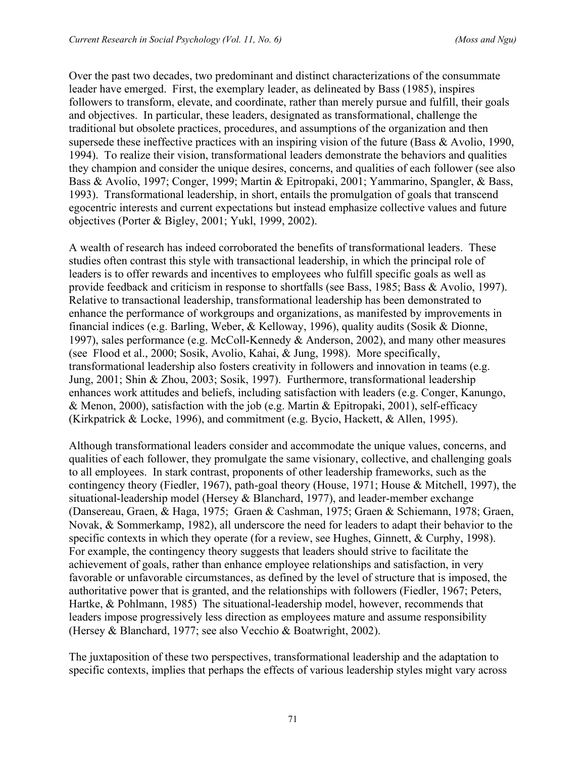Over the past two decades, two predominant and distinct characterizations of the consummate leader have emerged. First, the exemplary leader, as delineated by Bass (1985), inspires followers to transform, elevate, and coordinate, rather than merely pursue and fulfill, their goals and objectives. In particular, these leaders, designated as transformational, challenge the traditional but obsolete practices, procedures, and assumptions of the organization and then supersede these ineffective practices with an inspiring vision of the future (Bass & Avolio, 1990, 1994). To realize their vision, transformational leaders demonstrate the behaviors and qualities they champion and consider the unique desires, concerns, and qualities of each follower (see also Bass & Avolio, 1997; Conger, 1999; Martin & Epitropaki, 2001; Yammarino, Spangler, & Bass, 1993). Transformational leadership, in short, entails the promulgation of goals that transcend egocentric interests and current expectations but instead emphasize collective values and future objectives (Porter & Bigley, 2001; Yukl, 1999, 2002).

A wealth of research has indeed corroborated the benefits of transformational leaders. These studies often contrast this style with transactional leadership, in which the principal role of leaders is to offer rewards and incentives to employees who fulfill specific goals as well as provide feedback and criticism in response to shortfalls (see Bass, 1985; Bass & Avolio, 1997). Relative to transactional leadership, transformational leadership has been demonstrated to enhance the performance of workgroups and organizations, as manifested by improvements in financial indices (e.g. Barling, Weber, & Kelloway, 1996), quality audits (Sosik & Dionne, 1997), sales performance (e.g. McColl-Kennedy & Anderson, 2002), and many other measures (see Flood et al., 2000; Sosik, Avolio, Kahai, & Jung, 1998). More specifically, transformational leadership also fosters creativity in followers and innovation in teams (e.g. Jung, 2001; Shin & Zhou, 2003; Sosik, 1997). Furthermore, transformational leadership enhances work attitudes and beliefs, including satisfaction with leaders (e.g. Conger, Kanungo, & Menon, 2000), satisfaction with the job (e.g. Martin & Epitropaki, 2001), self-efficacy (Kirkpatrick & Locke, 1996), and commitment (e.g. Bycio, Hackett, & Allen, 1995).

Although transformational leaders consider and accommodate the unique values, concerns, and qualities of each follower, they promulgate the same visionary, collective, and challenging goals to all employees. In stark contrast, proponents of other leadership frameworks, such as the contingency theory (Fiedler, 1967), path-goal theory (House, 1971; House & Mitchell, 1997), the situational-leadership model (Hersey & Blanchard, 1977), and leader-member exchange (Dansereau, Graen, & Haga, 1975; Graen & Cashman, 1975; Graen & Schiemann, 1978; Graen, Novak, & Sommerkamp, 1982), all underscore the need for leaders to adapt their behavior to the specific contexts in which they operate (for a review, see Hughes, Ginnett, & Curphy, 1998). For example, the contingency theory suggests that leaders should strive to facilitate the achievement of goals, rather than enhance employee relationships and satisfaction, in very favorable or unfavorable circumstances, as defined by the level of structure that is imposed, the authoritative power that is granted, and the relationships with followers (Fiedler, 1967; Peters, Hartke, & Pohlmann, 1985) The situational-leadership model, however, recommends that leaders impose progressively less direction as employees mature and assume responsibility (Hersey & Blanchard, 1977; see also Vecchio & Boatwright, 2002).

The juxtaposition of these two perspectives, transformational leadership and the adaptation to specific contexts, implies that perhaps the effects of various leadership styles might vary across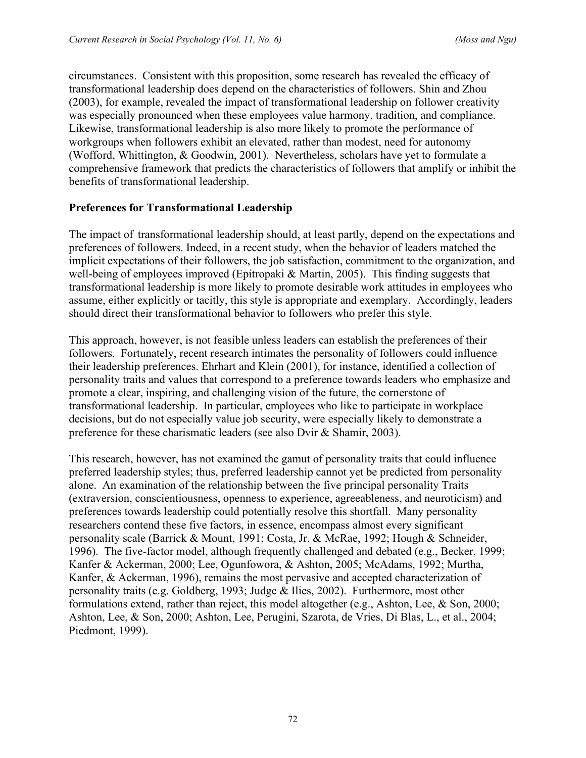circumstances. Consistent with this proposition, some research has revealed the efficacy of transformational leadership does depend on the characteristics of followers. Shin and Zhou (2003), for example, revealed the impact of transformational leadership on follower creativity was especially pronounced when these employees value harmony, tradition, and compliance. Likewise, transformational leadership is also more likely to promote the performance of workgroups when followers exhibit an elevated, rather than modest, need for autonomy (Wofford, Whittington, & Goodwin, 2001). Nevertheless, scholars have yet to formulate a comprehensive framework that predicts the characteristics of followers that amplify or inhibit the benefits of transformational leadership.

# **Preferences for Transformational Leadership**

The impact of transformational leadership should, at least partly, depend on the expectations and preferences of followers. Indeed, in a recent study, when the behavior of leaders matched the implicit expectations of their followers, the job satisfaction, commitment to the organization, and well-being of employees improved (Epitropaki & Martin, 2005). This finding suggests that transformational leadership is more likely to promote desirable work attitudes in employees who assume, either explicitly or tacitly, this style is appropriate and exemplary. Accordingly, leaders should direct their transformational behavior to followers who prefer this style.

This approach, however, is not feasible unless leaders can establish the preferences of their followers. Fortunately, recent research intimates the personality of followers could influence their leadership preferences. Ehrhart and Klein (2001), for instance, identified a collection of personality traits and values that correspond to a preference towards leaders who emphasize and promote a clear, inspiring, and challenging vision of the future, the cornerstone of transformational leadership. In particular, employees who like to participate in workplace decisions, but do not especially value job security, were especially likely to demonstrate a preference for these charismatic leaders (see also Dvir & Shamir, 2003).

This research, however, has not examined the gamut of personality traits that could influence preferred leadership styles; thus, preferred leadership cannot yet be predicted from personality alone. An examination of the relationship between the five principal personality Traits (extraversion, conscientiousness, openness to experience, agreeableness, and neuroticism) and preferences towards leadership could potentially resolve this shortfall. Many personality researchers contend these five factors, in essence, encompass almost every significant personality scale (Barrick & Mount, 1991; Costa, Jr. & McRae, 1992; Hough & Schneider, 1996). The five-factor model, although frequently challenged and debated (e.g., Becker, 1999; Kanfer & Ackerman, 2000; Lee, Ogunfowora, & Ashton, 2005; McAdams, 1992; Murtha, Kanfer, & Ackerman, 1996), remains the most pervasive and accepted characterization of personality traits (e.g. Goldberg, 1993; Judge & Ilies, 2002). Furthermore, most other formulations extend, rather than reject, this model altogether (e.g., Ashton, Lee, & Son, 2000; Ashton, Lee, & Son, 2000; Ashton, Lee, Perugini, Szarota, de Vries, Di Blas, L., et al., 2004; Piedmont, 1999).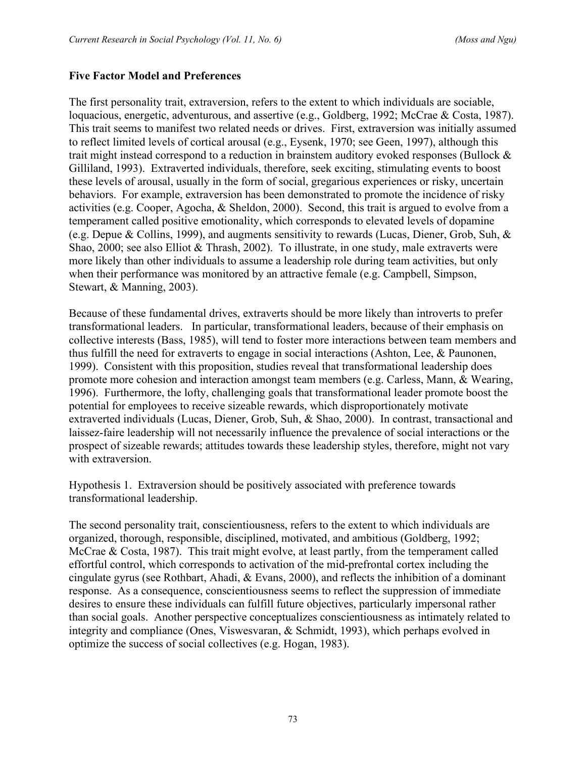#### **Five Factor Model and Preferences**

The first personality trait, extraversion, refers to the extent to which individuals are sociable, loquacious, energetic, adventurous, and assertive (e.g., Goldberg, 1992; McCrae & Costa, 1987). This trait seems to manifest two related needs or drives. First, extraversion was initially assumed to reflect limited levels of cortical arousal (e.g., Eysenk, 1970; see Geen, 1997), although this trait might instead correspond to a reduction in brainstem auditory evoked responses (Bullock & Gilliland, 1993). Extraverted individuals, therefore, seek exciting, stimulating events to boost these levels of arousal, usually in the form of social, gregarious experiences or risky, uncertain behaviors. For example, extraversion has been demonstrated to promote the incidence of risky activities (e.g. Cooper, Agocha, & Sheldon, 2000). Second, this trait is argued to evolve from a temperament called positive emotionality, which corresponds to elevated levels of dopamine (e.g. Depue & Collins, 1999), and augments sensitivity to rewards (Lucas, Diener, Grob, Suh,  $\&$ Shao, 2000; see also Elliot & Thrash, 2002). To illustrate, in one study, male extraverts were more likely than other individuals to assume a leadership role during team activities, but only when their performance was monitored by an attractive female (e.g. Campbell, Simpson, Stewart, & Manning, 2003).

Because of these fundamental drives, extraverts should be more likely than introverts to prefer transformational leaders. In particular, transformational leaders, because of their emphasis on collective interests (Bass, 1985), will tend to foster more interactions between team members and thus fulfill the need for extraverts to engage in social interactions (Ashton, Lee, & Paunonen, 1999). Consistent with this proposition, studies reveal that transformational leadership does promote more cohesion and interaction amongst team members (e.g. Carless, Mann, & Wearing, 1996). Furthermore, the lofty, challenging goals that transformational leader promote boost the potential for employees to receive sizeable rewards, which disproportionately motivate extraverted individuals (Lucas, Diener, Grob, Suh, & Shao, 2000). In contrast, transactional and laissez-faire leadership will not necessarily influence the prevalence of social interactions or the prospect of sizeable rewards; attitudes towards these leadership styles, therefore, might not vary with extraversion.

Hypothesis 1. Extraversion should be positively associated with preference towards transformational leadership.

The second personality trait, conscientiousness, refers to the extent to which individuals are organized, thorough, responsible, disciplined, motivated, and ambitious (Goldberg, 1992; McCrae & Costa, 1987). This trait might evolve, at least partly, from the temperament called effortful control, which corresponds to activation of the mid-prefrontal cortex including the cingulate gyrus (see Rothbart, Ahadi, & Evans, 2000), and reflects the inhibition of a dominant response. As a consequence, conscientiousness seems to reflect the suppression of immediate desires to ensure these individuals can fulfill future objectives, particularly impersonal rather than social goals. Another perspective conceptualizes conscientiousness as intimately related to integrity and compliance (Ones, Viswesvaran, & Schmidt, 1993), which perhaps evolved in optimize the success of social collectives (e.g. Hogan, 1983).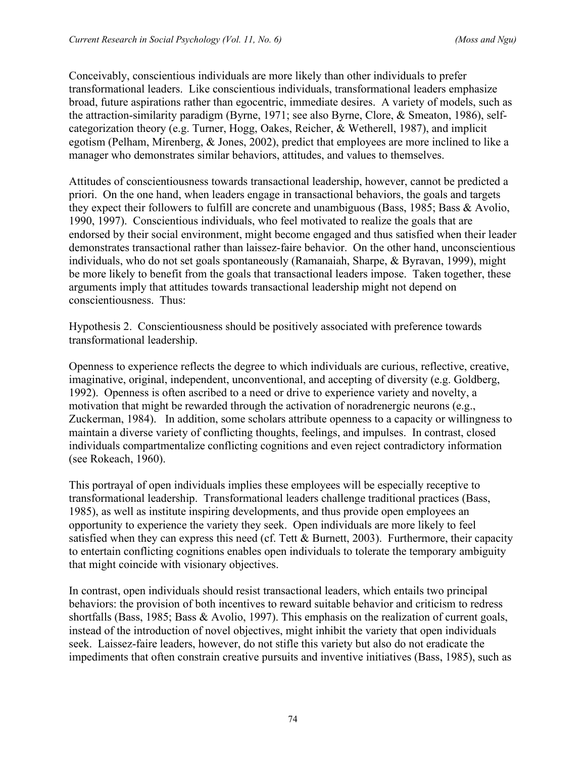Conceivably, conscientious individuals are more likely than other individuals to prefer transformational leaders. Like conscientious individuals, transformational leaders emphasize broad, future aspirations rather than egocentric, immediate desires. A variety of models, such as the attraction-similarity paradigm (Byrne, 1971; see also Byrne, Clore, & Smeaton, 1986), selfcategorization theory (e.g. Turner, Hogg, Oakes, Reicher, & Wetherell, 1987), and implicit egotism (Pelham, Mirenberg, & Jones, 2002), predict that employees are more inclined to like a manager who demonstrates similar behaviors, attitudes, and values to themselves.

Attitudes of conscientiousness towards transactional leadership, however, cannot be predicted a priori. On the one hand, when leaders engage in transactional behaviors, the goals and targets they expect their followers to fulfill are concrete and unambiguous (Bass, 1985; Bass & Avolio, 1990, 1997). Conscientious individuals, who feel motivated to realize the goals that are endorsed by their social environment, might become engaged and thus satisfied when their leader demonstrates transactional rather than laissez-faire behavior. On the other hand, unconscientious individuals, who do not set goals spontaneously (Ramanaiah, Sharpe, & Byravan, 1999), might be more likely to benefit from the goals that transactional leaders impose. Taken together, these arguments imply that attitudes towards transactional leadership might not depend on conscientiousness. Thus:

Hypothesis 2. Conscientiousness should be positively associated with preference towards transformational leadership.

Openness to experience reflects the degree to which individuals are curious, reflective, creative, imaginative, original, independent, unconventional, and accepting of diversity (e.g. Goldberg, 1992). Openness is often ascribed to a need or drive to experience variety and novelty, a motivation that might be rewarded through the activation of noradrenergic neurons (e.g., Zuckerman, 1984). In addition, some scholars attribute openness to a capacity or willingness to maintain a diverse variety of conflicting thoughts, feelings, and impulses. In contrast, closed individuals compartmentalize conflicting cognitions and even reject contradictory information (see Rokeach, 1960).

This portrayal of open individuals implies these employees will be especially receptive to transformational leadership. Transformational leaders challenge traditional practices (Bass, 1985), as well as institute inspiring developments, and thus provide open employees an opportunity to experience the variety they seek. Open individuals are more likely to feel satisfied when they can express this need (cf. Tett & Burnett, 2003). Furthermore, their capacity to entertain conflicting cognitions enables open individuals to tolerate the temporary ambiguity that might coincide with visionary objectives.

In contrast, open individuals should resist transactional leaders, which entails two principal behaviors: the provision of both incentives to reward suitable behavior and criticism to redress shortfalls (Bass, 1985; Bass & Avolio, 1997). This emphasis on the realization of current goals, instead of the introduction of novel objectives, might inhibit the variety that open individuals seek. Laissez-faire leaders, however, do not stifle this variety but also do not eradicate the impediments that often constrain creative pursuits and inventive initiatives (Bass, 1985), such as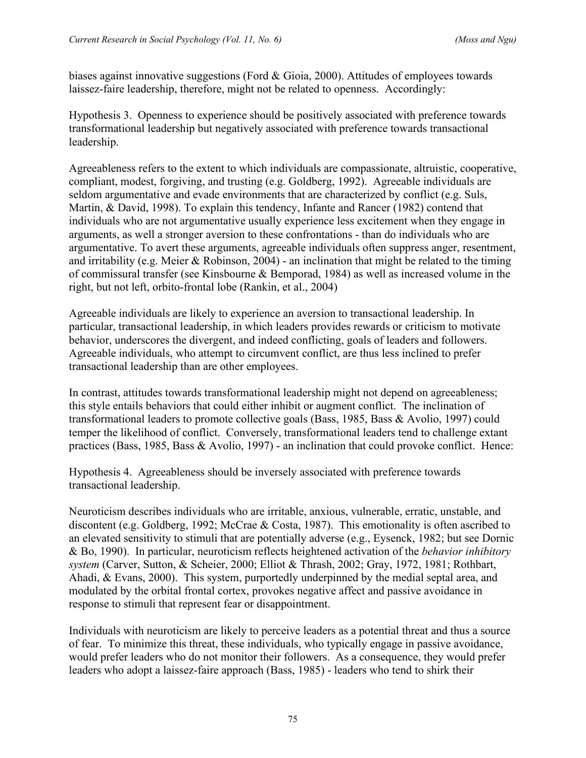biases against innovative suggestions (Ford & Gioia, 2000). Attitudes of employees towards laissez-faire leadership, therefore, might not be related to openness. Accordingly:

Hypothesis 3. Openness to experience should be positively associated with preference towards transformational leadership but negatively associated with preference towards transactional leadership.

Agreeableness refers to the extent to which individuals are compassionate, altruistic, cooperative, compliant, modest, forgiving, and trusting (e.g. Goldberg, 1992). Agreeable individuals are seldom argumentative and evade environments that are characterized by conflict (e.g. Suls, Martin, & David, 1998). To explain this tendency, Infante and Rancer (1982) contend that individuals who are not argumentative usually experience less excitement when they engage in arguments, as well a stronger aversion to these confrontations - than do individuals who are argumentative. To avert these arguments, agreeable individuals often suppress anger, resentment, and irritability (e.g. Meier  $& Robinson, 2004$ ) - an inclination that might be related to the timing of commissural transfer (see Kinsbourne & Bemporad, 1984) as well as increased volume in the right, but not left, orbito-frontal lobe (Rankin, et al., 2004)

Agreeable individuals are likely to experience an aversion to transactional leadership. In particular, transactional leadership, in which leaders provides rewards or criticism to motivate behavior, underscores the divergent, and indeed conflicting, goals of leaders and followers. Agreeable individuals, who attempt to circumvent conflict, are thus less inclined to prefer transactional leadership than are other employees.

In contrast, attitudes towards transformational leadership might not depend on agreeableness; this style entails behaviors that could either inhibit or augment conflict. The inclination of transformational leaders to promote collective goals (Bass, 1985, Bass & Avolio, 1997) could temper the likelihood of conflict. Conversely, transformational leaders tend to challenge extant practices (Bass, 1985, Bass & Avolio, 1997) - an inclination that could provoke conflict. Hence:

Hypothesis 4. Agreeableness should be inversely associated with preference towards transactional leadership.

Neuroticism describes individuals who are irritable, anxious, vulnerable, erratic, unstable, and discontent (e.g. Goldberg, 1992; McCrae & Costa, 1987). This emotionality is often ascribed to an elevated sensitivity to stimuli that are potentially adverse (e.g., Eysenck, 1982; but see Dornic & Bo, 1990). In particular, neuroticism reflects heightened activation of the *behavior inhibitory system* (Carver, Sutton, & Scheier, 2000; Elliot & Thrash, 2002; Gray, 1972, 1981; Rothbart, Ahadi, & Evans, 2000). This system, purportedly underpinned by the medial septal area, and modulated by the orbital frontal cortex, provokes negative affect and passive avoidance in response to stimuli that represent fear or disappointment.

Individuals with neuroticism are likely to perceive leaders as a potential threat and thus a source of fear. To minimize this threat, these individuals, who typically engage in passive avoidance, would prefer leaders who do not monitor their followers. As a consequence, they would prefer leaders who adopt a laissez-faire approach (Bass, 1985) - leaders who tend to shirk their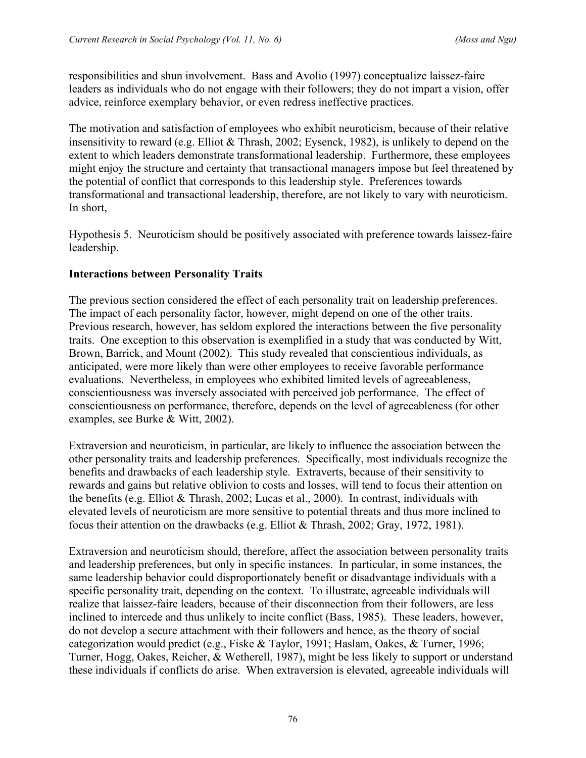responsibilities and shun involvement. Bass and Avolio (1997) conceptualize laissez-faire leaders as individuals who do not engage with their followers; they do not impart a vision, offer advice, reinforce exemplary behavior, or even redress ineffective practices.

The motivation and satisfaction of employees who exhibit neuroticism, because of their relative insensitivity to reward (e.g. Elliot & Thrash, 2002; Eysenck, 1982), is unlikely to depend on the extent to which leaders demonstrate transformational leadership. Furthermore, these employees might enjoy the structure and certainty that transactional managers impose but feel threatened by the potential of conflict that corresponds to this leadership style. Preferences towards transformational and transactional leadership, therefore, are not likely to vary with neuroticism. In short,

Hypothesis 5. Neuroticism should be positively associated with preference towards laissez-faire leadership.

# **Interactions between Personality Traits**

The previous section considered the effect of each personality trait on leadership preferences. The impact of each personality factor, however, might depend on one of the other traits. Previous research, however, has seldom explored the interactions between the five personality traits. One exception to this observation is exemplified in a study that was conducted by Witt, Brown, Barrick, and Mount (2002). This study revealed that conscientious individuals, as anticipated, were more likely than were other employees to receive favorable performance evaluations. Nevertheless, in employees who exhibited limited levels of agreeableness, conscientiousness was inversely associated with perceived job performance. The effect of conscientiousness on performance, therefore, depends on the level of agreeableness (for other examples, see Burke & Witt, 2002).

Extraversion and neuroticism, in particular, are likely to influence the association between the other personality traits and leadership preferences. Specifically, most individuals recognize the benefits and drawbacks of each leadership style. Extraverts, because of their sensitivity to rewards and gains but relative oblivion to costs and losses, will tend to focus their attention on the benefits (e.g. Elliot & Thrash, 2002; Lucas et al., 2000). In contrast, individuals with elevated levels of neuroticism are more sensitive to potential threats and thus more inclined to focus their attention on the drawbacks (e.g. Elliot & Thrash, 2002; Gray, 1972, 1981).

Extraversion and neuroticism should, therefore, affect the association between personality traits and leadership preferences, but only in specific instances. In particular, in some instances, the same leadership behavior could disproportionately benefit or disadvantage individuals with a specific personality trait, depending on the context. To illustrate, agreeable individuals will realize that laissez-faire leaders, because of their disconnection from their followers, are less inclined to intercede and thus unlikely to incite conflict (Bass, 1985). These leaders, however, do not develop a secure attachment with their followers and hence, as the theory of social categorization would predict (e.g., Fiske & Taylor, 1991; Haslam, Oakes, & Turner, 1996; Turner, Hogg, Oakes, Reicher, & Wetherell, 1987), might be less likely to support or understand these individuals if conflicts do arise. When extraversion is elevated, agreeable individuals will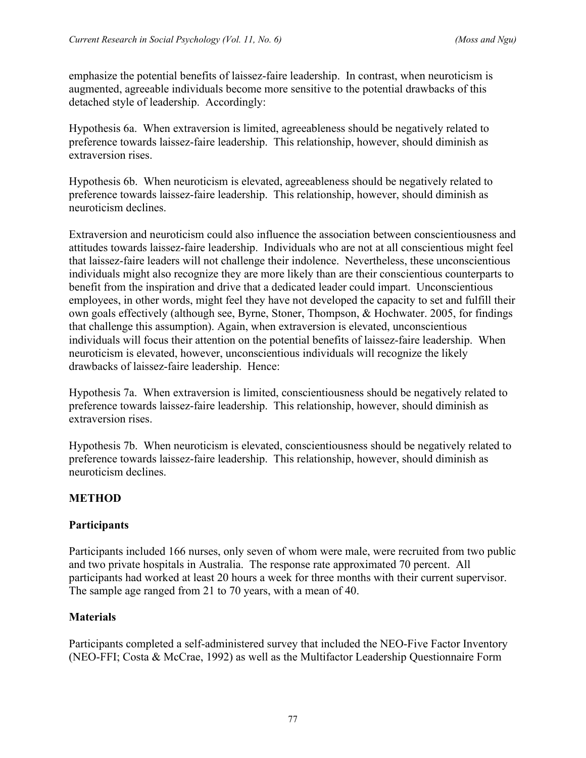emphasize the potential benefits of laissez-faire leadership. In contrast, when neuroticism is augmented, agreeable individuals become more sensitive to the potential drawbacks of this detached style of leadership. Accordingly:

Hypothesis 6a. When extraversion is limited, agreeableness should be negatively related to preference towards laissez-faire leadership. This relationship, however, should diminish as extraversion rises.

Hypothesis 6b. When neuroticism is elevated, agreeableness should be negatively related to preference towards laissez-faire leadership. This relationship, however, should diminish as neuroticism declines.

Extraversion and neuroticism could also influence the association between conscientiousness and attitudes towards laissez-faire leadership. Individuals who are not at all conscientious might feel that laissez-faire leaders will not challenge their indolence. Nevertheless, these unconscientious individuals might also recognize they are more likely than are their conscientious counterparts to benefit from the inspiration and drive that a dedicated leader could impart. Unconscientious employees, in other words, might feel they have not developed the capacity to set and fulfill their own goals effectively (although see, Byrne, Stoner, Thompson, & Hochwater. 2005, for findings that challenge this assumption). Again, when extraversion is elevated, unconscientious individuals will focus their attention on the potential benefits of laissez-faire leadership. When neuroticism is elevated, however, unconscientious individuals will recognize the likely drawbacks of laissez-faire leadership. Hence:

Hypothesis 7a. When extraversion is limited, conscientiousness should be negatively related to preference towards laissez-faire leadership. This relationship, however, should diminish as extraversion rises.

Hypothesis 7b. When neuroticism is elevated, conscientiousness should be negatively related to preference towards laissez-faire leadership. This relationship, however, should diminish as neuroticism declines.

# **METHOD**

# **Participants**

Participants included 166 nurses, only seven of whom were male, were recruited from two public and two private hospitals in Australia. The response rate approximated 70 percent. All participants had worked at least 20 hours a week for three months with their current supervisor. The sample age ranged from 21 to 70 years, with a mean of 40.

# **Materials**

Participants completed a self-administered survey that included the NEO-Five Factor Inventory (NEO-FFI; Costa & McCrae, 1992) as well as the Multifactor Leadership Questionnaire Form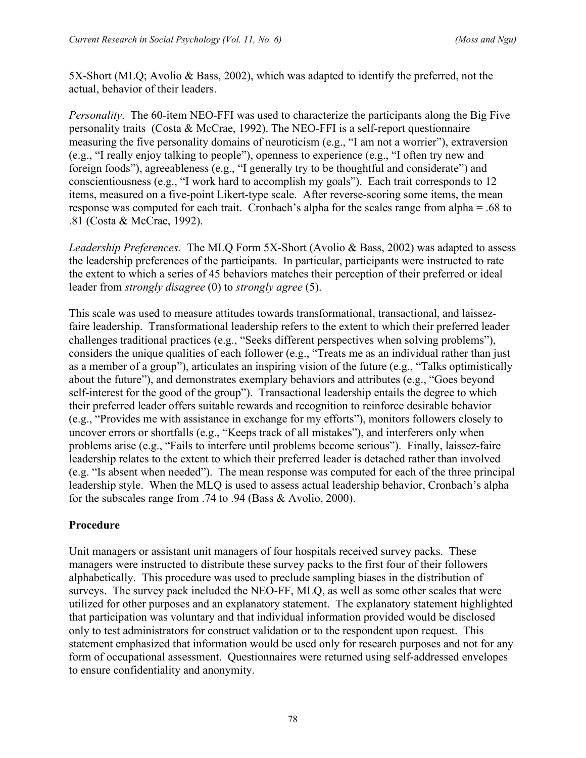5X-Short (MLQ; Avolio & Bass, 2002), which was adapted to identify the preferred, not the actual, behavior of their leaders.

*Personality*.The 60-item NEO-FFI was used to characterize the participants along the Big Five personality traits (Costa & McCrae, 1992). The NEO-FFI is a self-report questionnaire measuring the five personality domains of neuroticism (e.g., "I am not a worrier"), extraversion (e.g., "I really enjoy talking to people"), openness to experience (e.g., "I often try new and foreign foods"), agreeableness (e.g., "I generally try to be thoughtful and considerate") and conscientiousness (e.g., "I work hard to accomplish my goals"). Each trait corresponds to 12 items, measured on a five-point Likert-type scale. After reverse-scoring some items, the mean response was computed for each trait. Cronbach's alpha for the scales range from alpha = .68 to .81 (Costa & McCrae, 1992).

*Leadership Preferences.* The MLQ Form 5X-Short (Avolio & Bass, 2002) was adapted to assess the leadership preferences of the participants. In particular, participants were instructed to rate the extent to which a series of 45 behaviors matches their perception of their preferred or ideal leader from *strongly disagree* (0) to *strongly agree* (5).

This scale was used to measure attitudes towards transformational, transactional, and laissezfaire leadership. Transformational leadership refers to the extent to which their preferred leader challenges traditional practices (e.g., "Seeks different perspectives when solving problems"), considers the unique qualities of each follower (e.g., "Treats me as an individual rather than just as a member of a group"), articulates an inspiring vision of the future (e.g., "Talks optimistically about the future"), and demonstrates exemplary behaviors and attributes (e.g., "Goes beyond self-interest for the good of the group"). Transactional leadership entails the degree to which their preferred leader offers suitable rewards and recognition to reinforce desirable behavior (e.g., "Provides me with assistance in exchange for my efforts"), monitors followers closely to uncover errors or shortfalls (e.g., "Keeps track of all mistakes"), and interferers only when problems arise (e.g., "Fails to interfere until problems become serious"). Finally, laissez-faire leadership relates to the extent to which their preferred leader is detached rather than involved (e.g. "Is absent when needed"). The mean response was computed for each of the three principal leadership style. When the MLQ is used to assess actual leadership behavior, Cronbach's alpha for the subscales range from .74 to .94 (Bass & Avolio, 2000).

# **Procedure**

Unit managers or assistant unit managers of four hospitals received survey packs. These managers were instructed to distribute these survey packs to the first four of their followers alphabetically. This procedure was used to preclude sampling biases in the distribution of surveys. The survey pack included the NEO-FF, MLQ, as well as some other scales that were utilized for other purposes and an explanatory statement. The explanatory statement highlighted that participation was voluntary and that individual information provided would be disclosed only to test administrators for construct validation or to the respondent upon request. This statement emphasized that information would be used only for research purposes and not for any form of occupational assessment. Questionnaires were returned using self-addressed envelopes to ensure confidentiality and anonymity.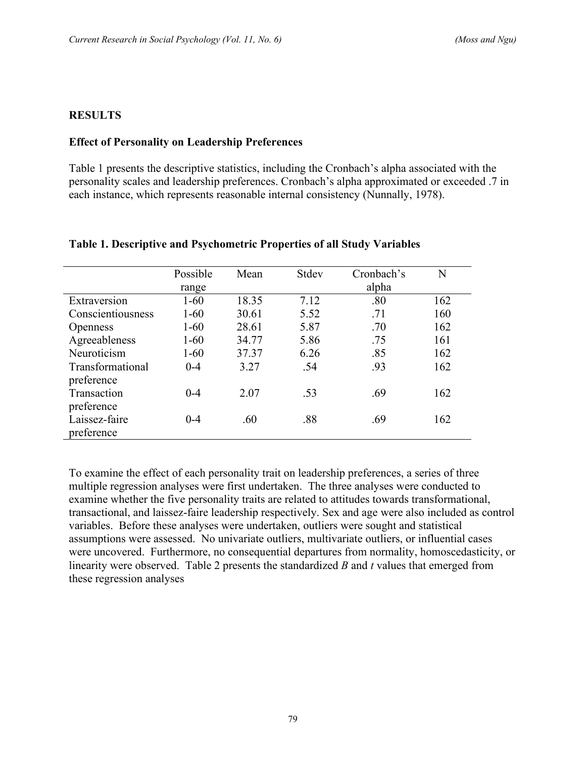## **RESULTS**

#### **Effect of Personality on Leadership Preferences**

Table 1 presents the descriptive statistics, including the Cronbach's alpha associated with the personality scales and leadership preferences. Cronbach's alpha approximated or exceeded .7 in each instance, which represents reasonable internal consistency (Nunnally, 1978).

|                   | Possible | Mean  | Stdev | Cronbach's | N   |
|-------------------|----------|-------|-------|------------|-----|
|                   | range    |       |       | alpha      |     |
| Extraversion      | $1 - 60$ | 18.35 | 7.12  | .80        | 162 |
| Conscientiousness | $1 - 60$ | 30.61 | 5.52  | .71        | 160 |
| <b>Openness</b>   | $1 - 60$ | 28.61 | 5.87  | .70        | 162 |
| Agreeableness     | $1 - 60$ | 34.77 | 5.86  | .75        | 161 |
| Neuroticism       | $1 - 60$ | 37.37 | 6.26  | .85        | 162 |
| Transformational  | $0 - 4$  | 3.27  | .54   | .93        | 162 |
| preference        |          |       |       |            |     |
| Transaction       | $0 - 4$  | 2.07  | .53   | .69        | 162 |
| preference        |          |       |       |            |     |
| Laissez-faire     | $0 - 4$  | .60   | .88   | .69        | 162 |
| preference        |          |       |       |            |     |

#### **Table 1. Descriptive and Psychometric Properties of all Study Variables**

To examine the effect of each personality trait on leadership preferences, a series of three multiple regression analyses were first undertaken. The three analyses were conducted to examine whether the five personality traits are related to attitudes towards transformational, transactional, and laissez-faire leadership respectively. Sex and age were also included as control variables. Before these analyses were undertaken, outliers were sought and statistical assumptions were assessed. No univariate outliers, multivariate outliers, or influential cases were uncovered. Furthermore, no consequential departures from normality, homoscedasticity, or linearity were observed. Table 2 presents the standardized *B* and *t* values that emerged from these regression analyses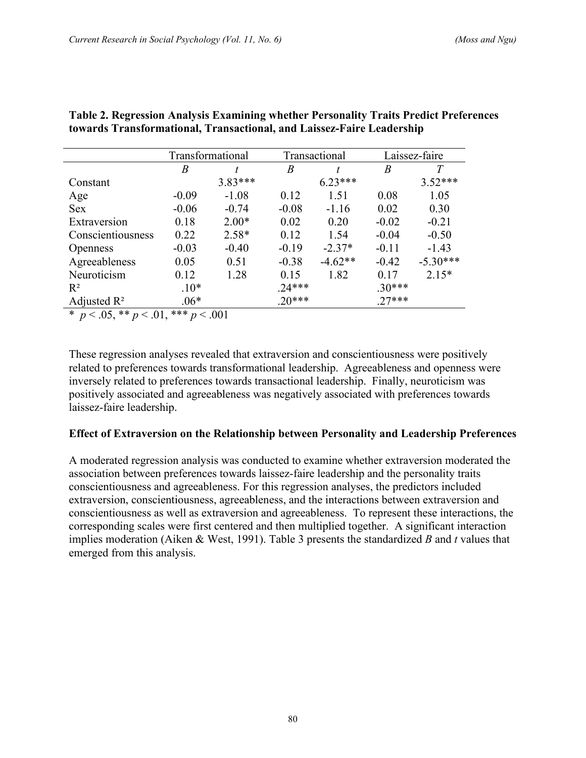|                                                                                         | Transformational |         |          | Transactional |          | Laissez-faire |  |
|-----------------------------------------------------------------------------------------|------------------|---------|----------|---------------|----------|---------------|--|
|                                                                                         | B                |         | B        | t             | B        | T             |  |
| Constant                                                                                |                  | 3.83*** |          | $6.23***$     |          | $3.52***$     |  |
| Age                                                                                     | $-0.09$          | $-1.08$ | 0.12     | 1.51          | 0.08     | 1.05          |  |
| <b>Sex</b>                                                                              | $-0.06$          | $-0.74$ | $-0.08$  | $-1.16$       | 0.02     | 0.30          |  |
| Extraversion                                                                            | 0.18             | $2.00*$ | 0.02     | 0.20          | $-0.02$  | $-0.21$       |  |
| Conscientiousness                                                                       | 0.22             | $2.58*$ | 0.12     | 1.54          | $-0.04$  | $-0.50$       |  |
| <b>Openness</b>                                                                         | $-0.03$          | $-0.40$ | $-0.19$  | $-2.37*$      | $-0.11$  | $-1.43$       |  |
| Agreeableness                                                                           | 0.05             | 0.51    | $-0.38$  | $-4.62**$     | $-0.42$  | $-5.30***$    |  |
| Neuroticism                                                                             | 0.12             | 1.28    | 0.15     | 1.82          | 0.17     | $2.15*$       |  |
| $R^2$                                                                                   | $.10*$           |         | $.24***$ |               | $.30***$ |               |  |
| Adjusted $\mathbb{R}^2$                                                                 | $.06*$           |         | $.20***$ |               | $.27***$ |               |  |
| $\sim$ $\Lambda$ $=$ $\sim$ $\sim$<br>مله مله مله<br>$\sim$<br>$\sim$ 001<br>$\sim$ 0.1 |                  |         |          |               |          |               |  |

#### **Table 2. Regression Analysis Examining whether Personality Traits Predict Preferences towards Transformational, Transactional, and Laissez-Faire Leadership**

\*  $p < .05$ , \*\*  $p < .01$ , \*\*\*  $p < .001$ 

These regression analyses revealed that extraversion and conscientiousness were positively related to preferences towards transformational leadership. Agreeableness and openness were inversely related to preferences towards transactional leadership. Finally, neuroticism was positively associated and agreeableness was negatively associated with preferences towards laissez-faire leadership.

# **Effect of Extraversion on the Relationship between Personality and Leadership Preferences**

A moderated regression analysis was conducted to examine whether extraversion moderated the association between preferences towards laissez-faire leadership and the personality traits conscientiousness and agreeableness. For this regression analyses, the predictors included extraversion, conscientiousness, agreeableness, and the interactions between extraversion and conscientiousness as well as extraversion and agreeableness. To represent these interactions, the corresponding scales were first centered and then multiplied together. A significant interaction implies moderation (Aiken & West, 1991). Table 3 presents the standardized *B* and *t* values that emerged from this analysis.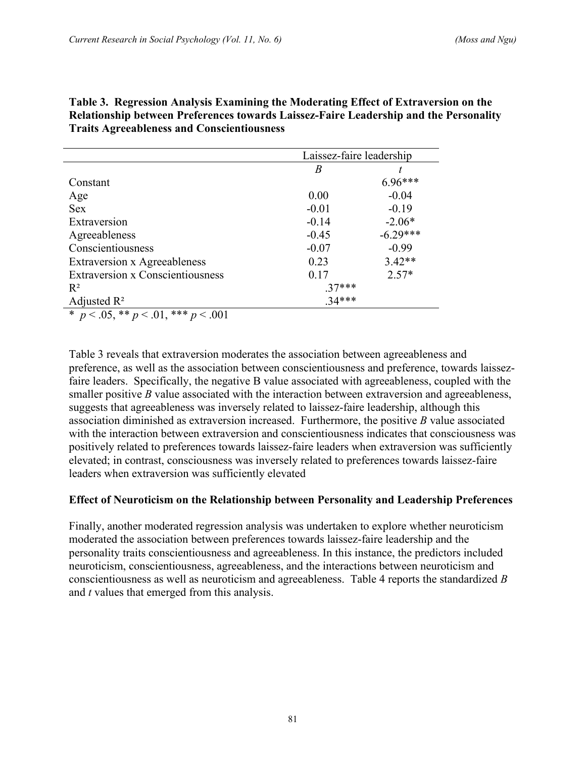|                                             |          | Laissez-faire leadership |  |  |
|---------------------------------------------|----------|--------------------------|--|--|
|                                             | B        |                          |  |  |
| Constant                                    |          | 6.96***                  |  |  |
| Age                                         | 0.00     | $-0.04$                  |  |  |
| <b>Sex</b>                                  | $-0.01$  | $-0.19$                  |  |  |
| Extraversion                                | $-0.14$  | $-2.06*$                 |  |  |
| Agreeableness                               | $-0.45$  | $-6.29***$               |  |  |
| Conscientiousness                           | $-0.07$  | $-0.99$                  |  |  |
| <b>Extraversion x Agreeableness</b>         | 0.23     | $3.42**$                 |  |  |
| <b>Extraversion x Conscientiousness</b>     | 0.17     | $2.57*$                  |  |  |
| $R^2$                                       | $.37***$ |                          |  |  |
| Adjusted $\mathbb{R}^2$                     | $34***$  |                          |  |  |
| * $p < .05$ , ** $p < .01$ , *** $p < .001$ |          |                          |  |  |

**Table 3. Regression Analysis Examining the Moderating Effect of Extraversion on the Relationship between Preferences towards Laissez-Faire Leadership and the Personality Traits Agreeableness and Conscientiousness** 

Table 3 reveals that extraversion moderates the association between agreeableness and preference, as well as the association between conscientiousness and preference, towards laissezfaire leaders. Specifically, the negative B value associated with agreeableness, coupled with the smaller positive *B* value associated with the interaction between extraversion and agreeableness, suggests that agreeableness was inversely related to laissez-faire leadership, although this association diminished as extraversion increased. Furthermore, the positive *B* value associated with the interaction between extraversion and conscientiousness indicates that consciousness was positively related to preferences towards laissez-faire leaders when extraversion was sufficiently elevated; in contrast, consciousness was inversely related to preferences towards laissez-faire leaders when extraversion was sufficiently elevated

#### **Effect of Neuroticism on the Relationship between Personality and Leadership Preferences**

Finally, another moderated regression analysis was undertaken to explore whether neuroticism moderated the association between preferences towards laissez-faire leadership and the personality traits conscientiousness and agreeableness. In this instance, the predictors included neuroticism, conscientiousness, agreeableness, and the interactions between neuroticism and conscientiousness as well as neuroticism and agreeableness. Table 4 reports the standardized *B* and *t* values that emerged from this analysis.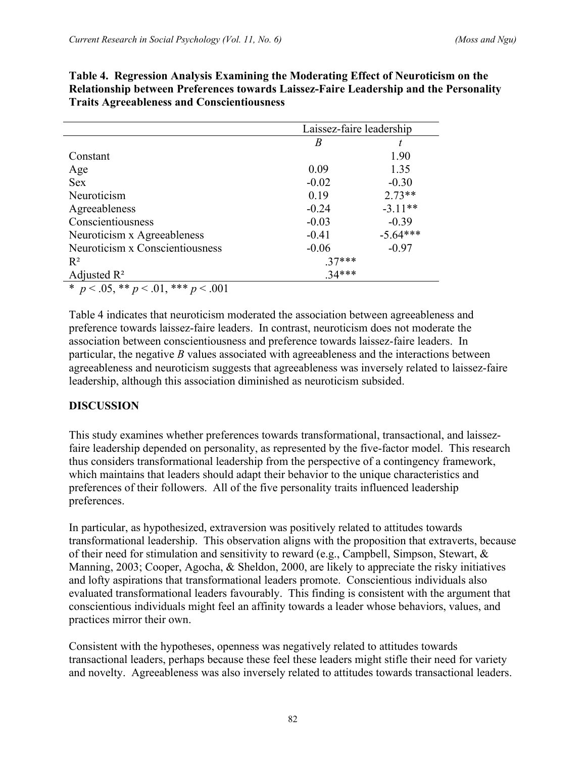|                                                | Laissez-faire leadership |            |  |
|------------------------------------------------|--------------------------|------------|--|
|                                                | B                        |            |  |
| Constant                                       |                          | 1.90       |  |
| Age                                            | 0.09                     | 1.35       |  |
| <b>Sex</b>                                     | $-0.02$                  | $-0.30$    |  |
| Neuroticism                                    | 0.19                     | $2.73**$   |  |
| Agreeableness                                  | $-0.24$                  | $-3.11**$  |  |
| Conscientiousness                              | $-0.03$                  | $-0.39$    |  |
| Neuroticism x Agreeableness                    | $-0.41$                  | $-5.64***$ |  |
| Neuroticism x Conscientiousness                | $-0.06$                  | $-0.97$    |  |
| $R^2$                                          | $.37***$                 |            |  |
| Adjusted $\mathbb{R}^2$                        | $34***$                  |            |  |
| * $p < .05$ , ** $p < .01$ ,<br>*** $p < .001$ |                          |            |  |

**Table 4. Regression Analysis Examining the Moderating Effect of Neuroticism on the Relationship between Preferences towards Laissez-Faire Leadership and the Personality Traits Agreeableness and Conscientiousness** 

Table 4 indicates that neuroticism moderated the association between agreeableness and preference towards laissez-faire leaders. In contrast, neuroticism does not moderate the association between conscientiousness and preference towards laissez-faire leaders. In particular, the negative *B* values associated with agreeableness and the interactions between agreeableness and neuroticism suggests that agreeableness was inversely related to laissez-faire leadership, although this association diminished as neuroticism subsided.

# **DISCUSSION**

This study examines whether preferences towards transformational, transactional, and laissezfaire leadership depended on personality, as represented by the five-factor model. This research thus considers transformational leadership from the perspective of a contingency framework, which maintains that leaders should adapt their behavior to the unique characteristics and preferences of their followers. All of the five personality traits influenced leadership preferences.

In particular, as hypothesized, extraversion was positively related to attitudes towards transformational leadership. This observation aligns with the proposition that extraverts, because of their need for stimulation and sensitivity to reward (e.g., Campbell, Simpson, Stewart, & Manning, 2003; Cooper, Agocha, & Sheldon, 2000, are likely to appreciate the risky initiatives and lofty aspirations that transformational leaders promote. Conscientious individuals also evaluated transformational leaders favourably. This finding is consistent with the argument that conscientious individuals might feel an affinity towards a leader whose behaviors, values, and practices mirror their own.

Consistent with the hypotheses, openness was negatively related to attitudes towards transactional leaders, perhaps because these feel these leaders might stifle their need for variety and novelty. Agreeableness was also inversely related to attitudes towards transactional leaders.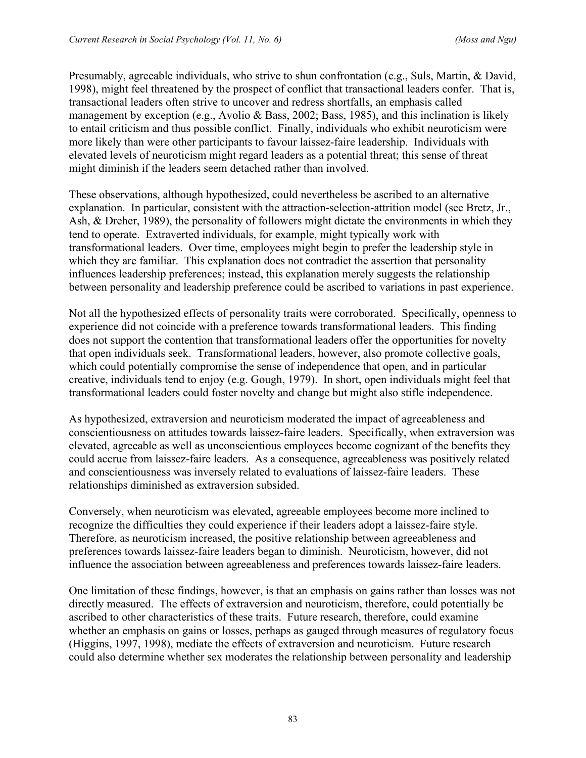Presumably, agreeable individuals, who strive to shun confrontation (e.g., Suls, Martin, & David, 1998), might feel threatened by the prospect of conflict that transactional leaders confer. That is, transactional leaders often strive to uncover and redress shortfalls, an emphasis called management by exception (e.g., Avolio & Bass, 2002; Bass, 1985), and this inclination is likely to entail criticism and thus possible conflict. Finally, individuals who exhibit neuroticism were more likely than were other participants to favour laissez-faire leadership. Individuals with elevated levels of neuroticism might regard leaders as a potential threat; this sense of threat might diminish if the leaders seem detached rather than involved.

These observations, although hypothesized, could nevertheless be ascribed to an alternative explanation. In particular, consistent with the attraction-selection-attrition model (see Bretz, Jr., Ash, & Dreher, 1989), the personality of followers might dictate the environments in which they tend to operate. Extraverted individuals, for example, might typically work with transformational leaders. Over time, employees might begin to prefer the leadership style in which they are familiar. This explanation does not contradict the assertion that personality influences leadership preferences; instead, this explanation merely suggests the relationship between personality and leadership preference could be ascribed to variations in past experience.

Not all the hypothesized effects of personality traits were corroborated. Specifically, openness to experience did not coincide with a preference towards transformational leaders. This finding does not support the contention that transformational leaders offer the opportunities for novelty that open individuals seek. Transformational leaders, however, also promote collective goals, which could potentially compromise the sense of independence that open, and in particular creative, individuals tend to enjoy (e.g. Gough, 1979). In short, open individuals might feel that transformational leaders could foster novelty and change but might also stifle independence.

As hypothesized, extraversion and neuroticism moderated the impact of agreeableness and conscientiousness on attitudes towards laissez-faire leaders. Specifically, when extraversion was elevated, agreeable as well as unconscientious employees become cognizant of the benefits they could accrue from laissez-faire leaders. As a consequence, agreeableness was positively related and conscientiousness was inversely related to evaluations of laissez-faire leaders. These relationships diminished as extraversion subsided.

Conversely, when neuroticism was elevated, agreeable employees become more inclined to recognize the difficulties they could experience if their leaders adopt a laissez-faire style. Therefore, as neuroticism increased, the positive relationship between agreeableness and preferences towards laissez-faire leaders began to diminish. Neuroticism, however, did not influence the association between agreeableness and preferences towards laissez-faire leaders.

One limitation of these findings, however, is that an emphasis on gains rather than losses was not directly measured. The effects of extraversion and neuroticism, therefore, could potentially be ascribed to other characteristics of these traits. Future research, therefore, could examine whether an emphasis on gains or losses, perhaps as gauged through measures of regulatory focus (Higgins, 1997, 1998), mediate the effects of extraversion and neuroticism. Future research could also determine whether sex moderates the relationship between personality and leadership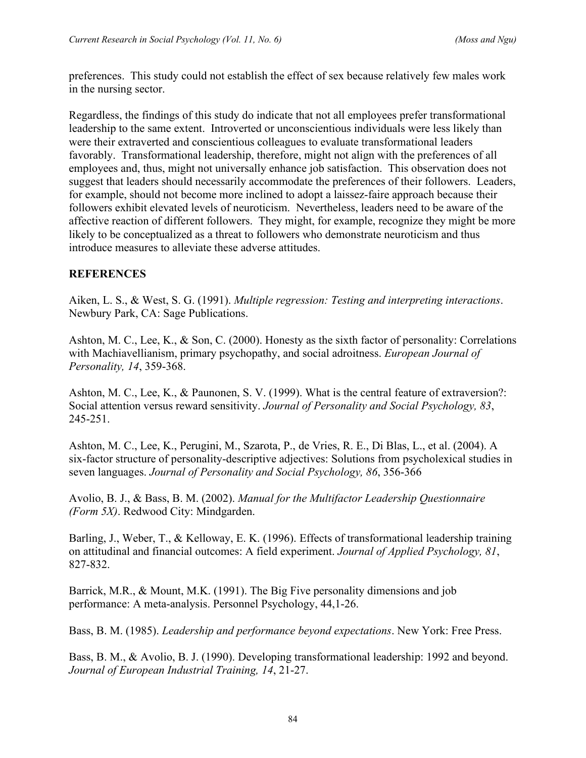preferences. This study could not establish the effect of sex because relatively few males work in the nursing sector.

Regardless, the findings of this study do indicate that not all employees prefer transformational leadership to the same extent. Introverted or unconscientious individuals were less likely than were their extraverted and conscientious colleagues to evaluate transformational leaders favorably. Transformational leadership, therefore, might not align with the preferences of all employees and, thus, might not universally enhance job satisfaction. This observation does not suggest that leaders should necessarily accommodate the preferences of their followers. Leaders, for example, should not become more inclined to adopt a laissez-faire approach because their followers exhibit elevated levels of neuroticism. Nevertheless, leaders need to be aware of the affective reaction of different followers. They might, for example, recognize they might be more likely to be conceptualized as a threat to followers who demonstrate neuroticism and thus introduce measures to alleviate these adverse attitudes.

# **REFERENCES**

Aiken, L. S., & West, S. G. (1991). *Multiple regression: Testing and interpreting interactions*. Newbury Park, CA: Sage Publications.

Ashton, M. C., Lee, K., & Son, C. (2000). Honesty as the sixth factor of personality: Correlations with Machiavellianism, primary psychopathy, and social adroitness. *European Journal of Personality, 14*, 359-368.

Ashton, M. C., Lee, K., & Paunonen, S. V. (1999). What is the central feature of extraversion?: Social attention versus reward sensitivity. *Journal of Personality and Social Psychology, 83*, 245-251.

Ashton, M. C., Lee, K., Perugini, M., Szarota, P., de Vries, R. E., Di Blas, L., et al. (2004). A six-factor structure of personality-descriptive adjectives: Solutions from psycholexical studies in seven languages. *Journal of Personality and Social Psychology, 86*, 356-366

Avolio, B. J., & Bass, B. M. (2002). *Manual for the Multifactor Leadership Questionnaire (Form 5X)*. Redwood City: Mindgarden.

Barling, J., Weber, T., & Kelloway, E. K. (1996). Effects of transformational leadership training on attitudinal and financial outcomes: A field experiment. *Journal of Applied Psychology, 81*, 827-832.

Barrick, M.R., & Mount, M.K. (1991). The Big Five personality dimensions and job performance: A meta-analysis. Personnel Psychology, 44,1-26.

Bass, B. M. (1985). *Leadership and performance beyond expectations*. New York: Free Press.

Bass, B. M., & Avolio, B. J. (1990). Developing transformational leadership: 1992 and beyond. *Journal of European Industrial Training, 14*, 21-27.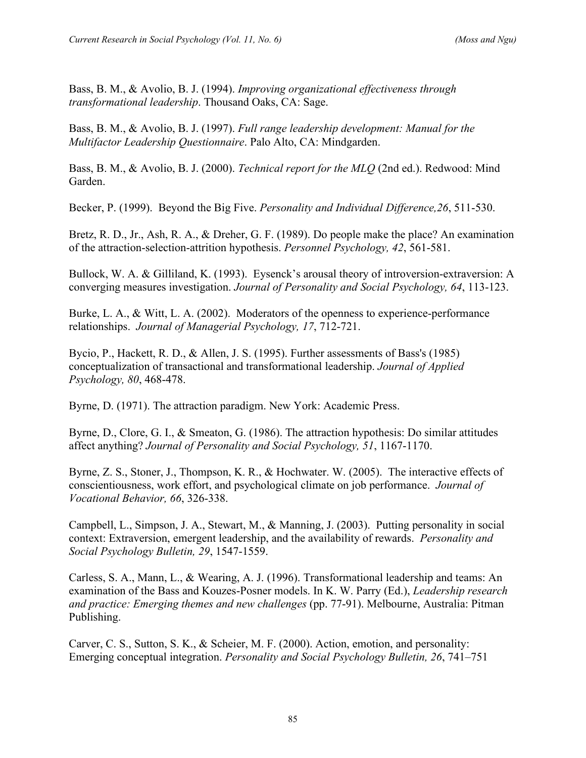Bass, B. M., & Avolio, B. J. (1994). *Improving organizational effectiveness through transformational leadership*. Thousand Oaks, CA: Sage.

Bass, B. M., & Avolio, B. J. (1997). *Full range leadership development: Manual for the Multifactor Leadership Questionnaire*. Palo Alto, CA: Mindgarden.

Bass, B. M., & Avolio, B. J. (2000). *Technical report for the MLQ* (2nd ed.). Redwood: Mind Garden.

Becker, P. (1999). Beyond the Big Five. *Personality and Individual Difference,26*, 511-530.

Bretz, R. D., Jr., Ash, R. A., & Dreher, G. F. (1989). Do people make the place? An examination of the attraction-selection-attrition hypothesis. *Personnel Psychology, 42*, 561-581.

Bullock, W. A. & Gilliland, K. (1993). Eysenck's arousal theory of introversion-extraversion: A converging measures investigation. *Journal of Personality and Social Psychology, 64*, 113-123.

Burke, L. A., & Witt, L. A. (2002). Moderators of the openness to experience-performance relationships. *Journal of Managerial Psychology, 17*, 712-721.

Bycio, P., Hackett, R. D., & Allen, J. S. (1995). Further assessments of Bass's (1985) conceptualization of transactional and transformational leadership. *Journal of Applied Psychology, 80*, 468-478.

Byrne, D. (1971). The attraction paradigm. New York: Academic Press.

Byrne, D., Clore, G. I., & Smeaton, G. (1986). The attraction hypothesis: Do similar attitudes affect anything? *Journal of Personality and Social Psychology, 51*, 1167-1170.

Byrne, Z. S., Stoner, J., Thompson, K. R., & Hochwater. W. (2005). The interactive effects of conscientiousness, work effort, and psychological climate on job performance. *Journal of Vocational Behavior, 66*, 326-338.

Campbell, L., Simpson, J. A., Stewart, M., & Manning, J. (2003). Putting personality in social context: Extraversion, emergent leadership, and the availability of rewards. *Personality and Social Psychology Bulletin, 29*, 1547-1559.

Carless, S. A., Mann, L., & Wearing, A. J. (1996). Transformational leadership and teams: An examination of the Bass and Kouzes-Posner models. In K. W. Parry (Ed.), *Leadership research and practice: Emerging themes and new challenges* (pp. 77-91). Melbourne, Australia: Pitman Publishing.

Carver, C. S., Sutton, S. K., & Scheier, M. F. (2000). Action, emotion, and personality: Emerging conceptual integration. *Personality and Social Psychology Bulletin, 26*, 741–751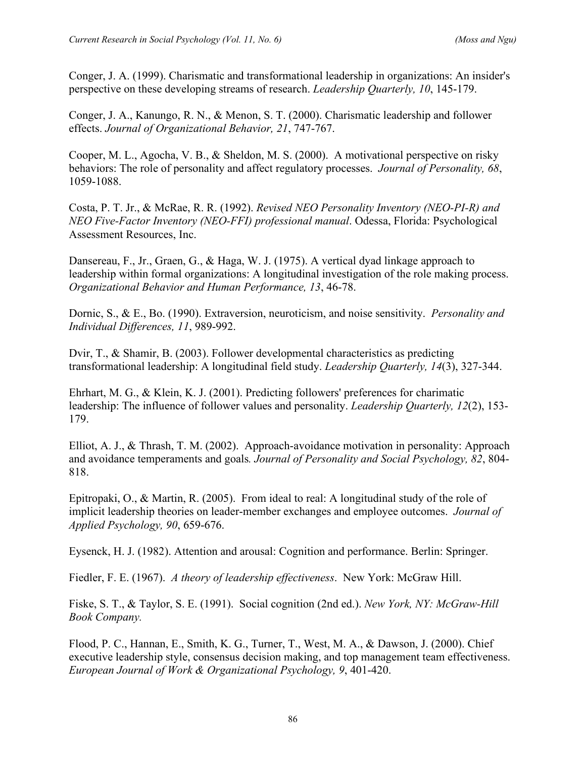Conger, J. A. (1999). Charismatic and transformational leadership in organizations: An insider's perspective on these developing streams of research. *Leadership Quarterly, 10*, 145-179.

Conger, J. A., Kanungo, R. N., & Menon, S. T. (2000). Charismatic leadership and follower effects. *Journal of Organizational Behavior, 21*, 747-767.

Cooper, M. L., Agocha, V. B., & Sheldon, M. S. (2000). A motivational perspective on risky behaviors: The role of personality and affect regulatory processes. *Journal of Personality, 68*, 1059-1088.

Costa, P. T. Jr., & McRae, R. R. (1992). *Revised NEO Personality Inventory (NEO-PI-R) and NEO Five-Factor Inventory (NEO-FFI) professional manual*. Odessa, Florida: Psychological Assessment Resources, Inc.

Dansereau, F., Jr., Graen, G., & Haga, W. J. (1975). A vertical dyad linkage approach to leadership within formal organizations: A longitudinal investigation of the role making process. *Organizational Behavior and Human Performance, 13*, 46-78.

Dornic, S., & E., Bo. (1990). Extraversion, neuroticism, and noise sensitivity. *Personality and Individual Differences, 11*, 989-992.

Dvir, T., & Shamir, B. (2003). Follower developmental characteristics as predicting transformational leadership: A longitudinal field study. *Leadership Quarterly, 14*(3), 327-344.

Ehrhart, M. G., & Klein, K. J. (2001). Predicting followers' preferences for charimatic leadership: The influence of follower values and personality. *Leadership Quarterly, 12*(2), 153- 179.

Elliot, A. J., & Thrash, T. M. (2002). Approach-avoidance motivation in personality: Approach and avoidance temperaments and goals*. Journal of Personality and Social Psychology, 82*, 804- 818.

Epitropaki, O., & Martin, R. (2005). From ideal to real: A longitudinal study of the role of implicit leadership theories on leader-member exchanges and employee outcomes. *Journal of Applied Psychology, 90*, 659-676.

Eysenck, H. J. (1982). Attention and arousal: Cognition and performance. Berlin: Springer.

Fiedler, F. E. (1967). *A theory of leadership effectiveness*. New York: McGraw Hill.

Fiske, S. T., & Taylor, S. E. (1991). Social cognition (2nd ed.). *New York, NY: McGraw-Hill Book Company.* 

Flood, P. C., Hannan, E., Smith, K. G., Turner, T., West, M. A., & Dawson, J. (2000). Chief executive leadership style, consensus decision making, and top management team effectiveness. *European Journal of Work & Organizational Psychology, 9*, 401-420.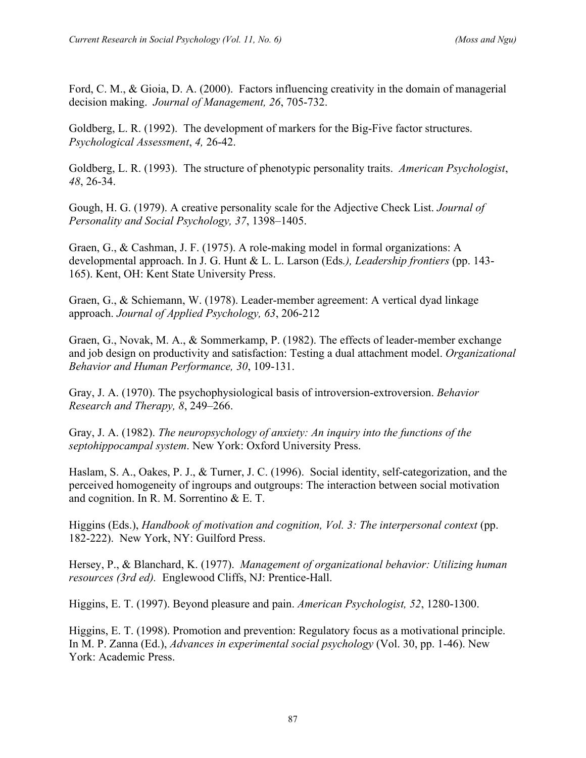Ford, C. M., & Gioia, D. A. (2000). Factors influencing creativity in the domain of managerial decision making. *Journal of Management, 26*, 705-732.

Goldberg, L. R. (1992). The development of markers for the Big-Five factor structures. *Psychological Assessment*, *4,* 26-42.

Goldberg, L. R. (1993). The structure of phenotypic personality traits. *American Psychologist*, *48*, 26-34.

Gough, H. G. (1979). A creative personality scale for the Adjective Check List. *Journal of Personality and Social Psychology, 37*, 1398–1405.

Graen, G., & Cashman, J. F. (1975). A role-making model in formal organizations: A developmental approach. In J. G. Hunt & L. L. Larson (Eds*.), Leadership frontiers* (pp. 143- 165). Kent, OH: Kent State University Press.

Graen, G., & Schiemann, W. (1978). Leader-member agreement: A vertical dyad linkage approach. *Journal of Applied Psychology, 63*, 206-212

Graen, G., Novak, M. A., & Sommerkamp, P. (1982). The effects of leader-member exchange and job design on productivity and satisfaction: Testing a dual attachment model. *Organizational Behavior and Human Performance, 30*, 109-131.

Gray, J. A. (1970). The psychophysiological basis of introversion-extroversion. *Behavior Research and Therapy, 8*, 249–266.

Gray, J. A. (1982). *The neuropsychology of anxiety: An inquiry into the functions of the septohippocampal system*. New York: Oxford University Press.

Haslam, S. A., Oakes, P. J., & Turner, J. C. (1996). Social identity, self-categorization, and the perceived homogeneity of ingroups and outgroups: The interaction between social motivation and cognition. In R. M. Sorrentino & E. T.

Higgins (Eds.), *Handbook of motivation and cognition, Vol. 3: The interpersonal context* (pp. 182-222). New York, NY: Guilford Press.

Hersey, P., & Blanchard, K. (1977). *Management of organizational behavior: Utilizing human resources (3rd ed).* Englewood Cliffs, NJ: Prentice-Hall.

Higgins, E. T. (1997). Beyond pleasure and pain. *American Psychologist, 52*, 1280-1300.

Higgins, E. T. (1998). Promotion and prevention: Regulatory focus as a motivational principle. In M. P. Zanna (Ed.), *Advances in experimental social psychology* (Vol. 30, pp. 1-46). New York: Academic Press.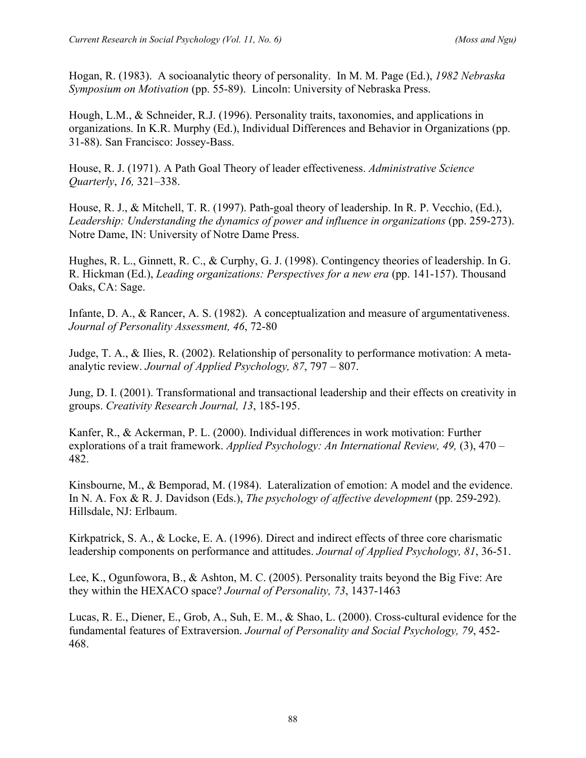Hogan, R. (1983). A socioanalytic theory of personality. In M. M. Page (Ed.), *1982 Nebraska Symposium on Motivation* (pp. 55-89). Lincoln: University of Nebraska Press.

Hough, L.M., & Schneider, R.J. (1996). Personality traits, taxonomies, and applications in organizations. In K.R. Murphy (Ed.), Individual Differences and Behavior in Organizations (pp. 31-88). San Francisco: Jossey-Bass.

House, R. J. (1971). A Path Goal Theory of leader effectiveness. *Administrative Science Quarterly*, *16,* 321–338.

House, R. J., & Mitchell, T. R. (1997). Path-goal theory of leadership. In R. P. Vecchio, (Ed.), *Leadership: Understanding the dynamics of power and influence in organizations* (pp. 259-273). Notre Dame, IN: University of Notre Dame Press.

Hughes, R. L., Ginnett, R. C., & Curphy, G. J. (1998). Contingency theories of leadership. In G. R. Hickman (Ed.), *Leading organizations: Perspectives for a new era* (pp. 141-157). Thousand Oaks, CA: Sage.

Infante, D. A., & Rancer, A. S. (1982). A conceptualization and measure of argumentativeness. *Journal of Personality Assessment, 46*, 72-80

Judge, T. A., & Ilies, R. (2002). Relationship of personality to performance motivation: A metaanalytic review. *Journal of Applied Psychology, 87*, 797 – 807.

Jung, D. I. (2001). Transformational and transactional leadership and their effects on creativity in groups. *Creativity Research Journal, 13*, 185-195.

Kanfer, R., & Ackerman, P. L. (2000). Individual differences in work motivation: Further explorations of a trait framework. *Applied Psychology: An International Review, 49,* (3), 470 – 482.

Kinsbourne, M., & Bemporad, M. (1984). Lateralization of emotion: A model and the evidence. In N. A. Fox & R. J. Davidson (Eds.), *The psychology of affective development* (pp. 259-292). Hillsdale, NJ: Erlbaum.

Kirkpatrick, S. A., & Locke, E. A. (1996). Direct and indirect effects of three core charismatic leadership components on performance and attitudes. *Journal of Applied Psychology, 81*, 36-51.

Lee, K., Ogunfowora, B., & Ashton, M. C. (2005). Personality traits beyond the Big Five: Are they within the HEXACO space? *Journal of Personality, 73*, 1437-1463

Lucas, R. E., Diener, E., Grob, A., Suh, E. M., & Shao, L. (2000). Cross-cultural evidence for the fundamental features of Extraversion. *Journal of Personality and Social Psychology, 79*, 452- 468.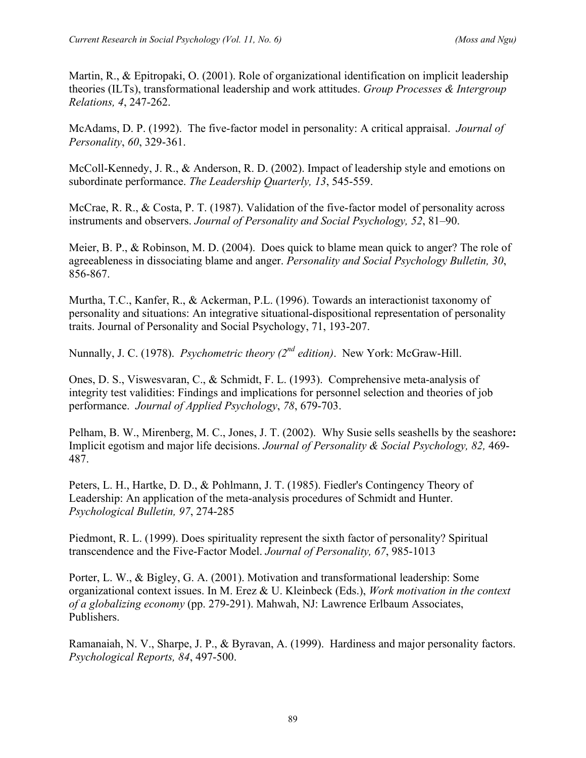Martin, R., & Epitropaki, O. (2001). Role of organizational identification on implicit leadership theories (ILTs), transformational leadership and work attitudes. *Group Processes & Intergroup Relations, 4*, 247-262.

McAdams, D. P. (1992). The five-factor model in personality: A critical appraisal. *Journal of Personality*, *60*, 329-361.

McColl-Kennedy, J. R., & Anderson, R. D. (2002). Impact of leadership style and emotions on subordinate performance. *The Leadership Quarterly, 13*, 545-559.

McCrae, R. R., & Costa, P. T. (1987). Validation of the five-factor model of personality across instruments and observers. *Journal of Personality and Social Psychology, 52*, 81–90.

Meier, B. P., & Robinson, M. D. (2004). Does quick to blame mean quick to anger? The role of agreeableness in dissociating blame and anger. *Personality and Social Psychology Bulletin, 30*, 856-867.

Murtha, T.C., Kanfer, R., & Ackerman, P.L. (1996). Towards an interactionist taxonomy of personality and situations: An integrative situational-dispositional representation of personality traits. Journal of Personality and Social Psychology, 71, 193-207.

Nunnally, J. C. (1978). *Psychometric theory (2<sup>nd</sup> edition)*. New York: McGraw-Hill.

Ones, D. S., Viswesvaran, C., & Schmidt, F. L. (1993). Comprehensive meta-analysis of integrity test validities: Findings and implications for personnel selection and theories of job performance. *Journal of Applied Psychology*, *78*, 679-703.

Pelham, B. W., Mirenberg, M. C., Jones, J. T. (2002). Why Susie sells seashells by the seashore**:** Implicit egotism and major life decisions. *Journal of Personality & Social Psychology, 82,* 469- 487.

Peters, L. H., Hartke, D. D., & Pohlmann, J. T. (1985). Fiedler's Contingency Theory of Leadership: An application of the meta-analysis procedures of Schmidt and Hunter. *Psychological Bulletin, 97*, 274-285

Piedmont, R. L. (1999). Does spirituality represent the sixth factor of personality? Spiritual transcendence and the Five-Factor Model. *Journal of Personality, 67*, 985-1013

Porter, L. W., & Bigley, G. A. (2001). Motivation and transformational leadership: Some organizational context issues. In M. Erez & U. Kleinbeck (Eds.), *Work motivation in the context of a globalizing economy* (pp. 279-291). Mahwah, NJ: Lawrence Erlbaum Associates, Publishers.

Ramanaiah, N. V., Sharpe, J. P., & Byravan, A. (1999). Hardiness and major personality factors. *Psychological Reports, 84*, 497-500.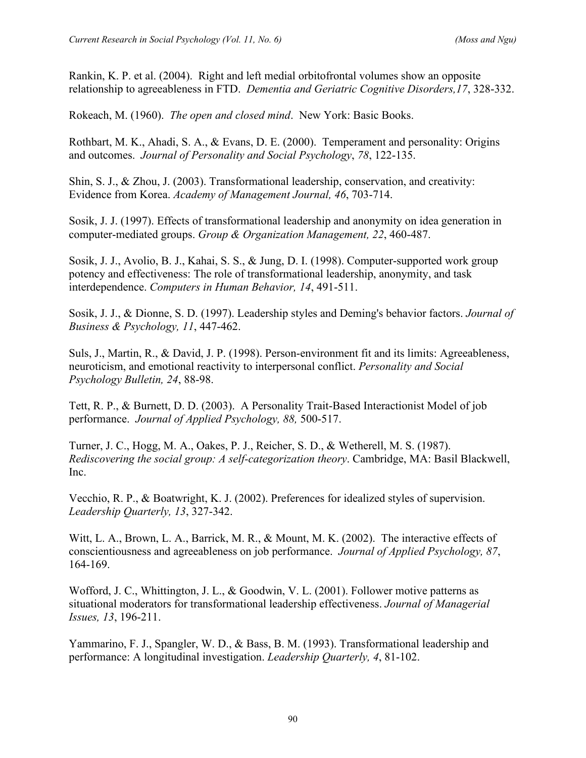Rankin, K. P. et al. (2004). Right and left medial orbitofrontal volumes show an opposite relationship to agreeableness in FTD. *Dementia and Geriatric Cognitive Disorders,17*, 328-332.

Rokeach, M. (1960). *The open and closed mind*. New York: Basic Books.

Rothbart, M. K., Ahadi, S. A., & Evans, D. E. (2000). Temperament and personality: Origins and outcomes. *Journal of Personality and Social Psychology*, *78*, 122-135.

Shin, S. J., & Zhou, J. (2003). Transformational leadership, conservation, and creativity: Evidence from Korea. *Academy of Management Journal, 46*, 703-714.

Sosik, J. J. (1997). Effects of transformational leadership and anonymity on idea generation in computer-mediated groups. *Group & Organization Management, 22*, 460-487.

Sosik, J. J., Avolio, B. J., Kahai, S. S., & Jung, D. I. (1998). Computer-supported work group potency and effectiveness: The role of transformational leadership, anonymity, and task interdependence. *Computers in Human Behavior, 14*, 491-511.

Sosik, J. J., & Dionne, S. D. (1997). Leadership styles and Deming's behavior factors. *Journal of Business & Psychology, 11*, 447-462.

Suls, J., Martin, R., & David, J. P. (1998). Person-environment fit and its limits: Agreeableness, neuroticism, and emotional reactivity to interpersonal conflict. *Personality and Social Psychology Bulletin, 24*, 88-98.

Tett, R. P., & Burnett, D. D. (2003). A Personality Trait-Based Interactionist Model of job performance. *Journal of Applied Psychology, 88,* 500-517.

Turner, J. C., Hogg, M. A., Oakes, P. J., Reicher, S. D., & Wetherell, M. S. (1987). *Rediscovering the social group: A self-categorization theory*. Cambridge, MA: Basil Blackwell, Inc.

Vecchio, R. P., & Boatwright, K. J. (2002). Preferences for idealized styles of supervision. *Leadership Quarterly, 13*, 327-342.

Witt, L. A., Brown, L. A., Barrick, M. R., & Mount, M. K. (2002). The interactive effects of conscientiousness and agreeableness on job performance. *Journal of Applied Psychology, 87*, 164-169.

Wofford, J. C., Whittington, J. L., & Goodwin, V. L. (2001). Follower motive patterns as situational moderators for transformational leadership effectiveness. *Journal of Managerial Issues, 13*, 196-211.

Yammarino, F. J., Spangler, W. D., & Bass, B. M. (1993). Transformational leadership and performance: A longitudinal investigation. *Leadership Quarterly, 4*, 81-102.